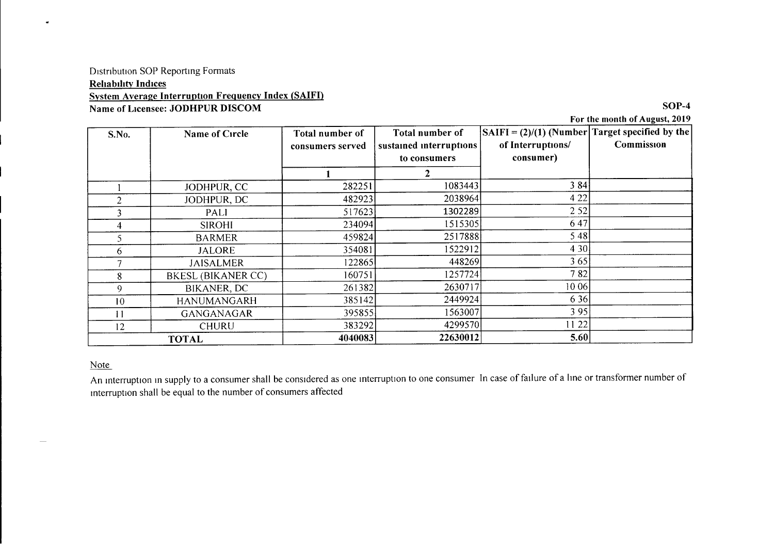### Drstnbution SOP Reporting Formats **Reliability Indices** System Average Interruption Frequency Index (SAIFI) Name of Licensee: JODHPUR DISCOM SOP-4

For the month of August, 2019

| S.No.          | Name of Circle            | Total number of  | Total number of         | $ SAIFI = (2)/(1)$ (Number Target specified by the |            |
|----------------|---------------------------|------------------|-------------------------|----------------------------------------------------|------------|
|                |                           | consumers served | sustained interruptions | of Interruptions/                                  | Commission |
|                |                           |                  | to consumers            | consumer)                                          |            |
|                |                           |                  |                         |                                                    |            |
|                | JODHPUR, CC               | 282251           | 1083443                 | 3 8 4                                              |            |
| $\overline{2}$ | JODHPUR, DC               | 482923           | 2038964                 | 4 2 2                                              |            |
| 3              | PALI                      | 517623           | 1302289                 | 2 5 2                                              |            |
| 4              | <b>SIROHI</b>             | 234094           | 1515305                 | 647                                                |            |
| 5              | <b>BARMER</b>             | 459824           | 2517888                 | 5 4 8                                              |            |
| 6.             | <b>JALORE</b>             | 354081           | 1522912                 | 4 3 0                                              |            |
|                | <b>JAISALMER</b>          | 1228651          | 448269                  | 365                                                |            |
| 8              | <b>BKESL (BIKANER CC)</b> | 160751           | 1257724                 | 782                                                |            |
| 9              | BIKANER, DC               | 261382           | 2630717                 | 10 06                                              |            |
| 10             | <b>HANUMANGARH</b>        | 385142           | 2449924                 | 6 3 6                                              |            |
|                | GANGANAGAR                | 395855           | 1563007                 | 395                                                |            |
| 12             | <b>CHURU</b>              | 383292           | 4299570                 | 11 22                                              |            |
| <b>TOTAL</b>   |                           | 4040083          | 22630012                | 5.60                                               |            |

#### Note

An mterruption In supply to a consumer shall be considered as one mterruption to one consumer In case of failure of a line or transformer number of mterruption shall be equal to the number of consumers affected

 $\ddot{\phantom{1}}$